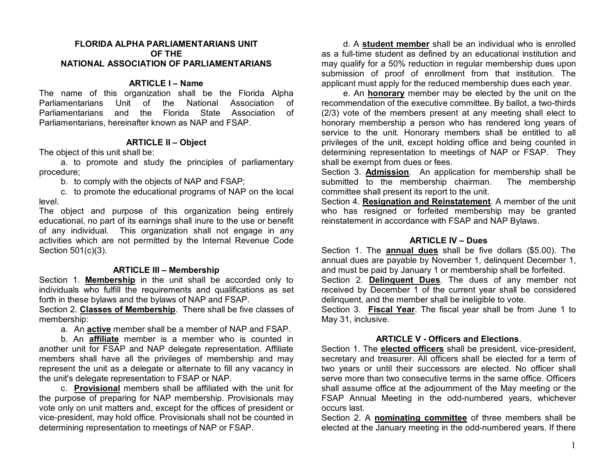### **FLORIDA ALPHA PARLIAMENTARIANS UNIT OF THE NATIONAL ASSOCIATION OF PARLIAMENTARIANS**

## **ARTICLE I – Name**

The name of this organization shall be the Florida Alpha Parliamentarians Unit of the National Association of Parliamentarians and the Florida State Association of Parliamentarians, hereinafter known as NAP and FSAP.

## **ARTICLE II – Object**

The object of this unit shall be:

a. to promote and study the principles of parliamentary procedure;

b. to comply with the objects of NAP and FSAP;

c. to promote the educational programs of NAP on the local level.

The object and purpose of this organization being entirely educational, no part of its earnings shall inure to the use or benefit of any individual. This organization shall not engage in any activities which are not permitted by the Internal Revenue Code Section 501(c)(3).

## **ARTICLE III – Membership**

Section 1. **Membership** in the unit shall be accorded only to individuals who fulfill the requirements and qualifications as set forth in these bylaws and the bylaws of NAP and FSAP.

Section 2. **Classes of Membership**. There shall be five classes of membership:

a. An **active** member shall be a member of NAP and FSAP.

b. An **affiliate** member is a member who is counted in another unit for FSAP and NAP delegate representation. Affiliate members shall have all the privileges of membership and may represent the unit as a delegate or alternate to fill any vacancy in the unit's delegate representation to FSAP or NAP.

c. **Provisional** members shall be affiliated with the unit for the purpose of preparing for NAP membership. Provisionals may vote only on unit matters and, except for the offices of president or vice-president, may hold office. Provisionals shall not be counted in determining representation to meetings of NAP or FSAP.

d. A **student member** shall be an individual who is enrolled as a full-time student as defined by an educational institution and may qualify for a 50% reduction in regular membership dues upon submission of proof of enrollment from that institution. The applicant must apply for the reduced membership dues each year.

e. An **honorary** member may be elected by the unit on the recommendation of the executive committee. By ballot, a two-thirds (2/3) vote of the members present at any meeting shall elect to honorary membership a person who has rendered long years of service to the unit. Honorary members shall be entitled to all privileges of the unit, except holding office and being counted in determining representation to meetings of NAP or FSAP. They shall be exempt from dues or fees.

Section 3. **Admission**. An application for membership shall be submitted to the membership chairman. The membership committee shall present its report to the unit.

Section 4. **Resignation and Reinstatement**. A member of the unit who has resigned or forfeited membership may be granted reinstatement in accordance with FSAP and NAP Bylaws.

### **ARTICLE IV – Dues**

Section 1. The **annual dues** shall be five dollars (\$5.00). The annual dues are payable by November 1, delinquent December 1, and must be paid by January 1 or membership shall be forfeited. Section 2. **Delinquent Dues**. The dues of any member not received by December 1 of the current year shall be considered delinquent, and the member shall be ineligible to vote.

Section 3. **Fiscal Year**. The fiscal year shall be from June 1 to May 31, inclusive.

# **ARTICLE V - Officers and Elections**.

Section 1. The **elected officers** shall be president, vice-president, secretary and treasurer. All officers shall be elected for a term of two years or until their successors are elected. No officer shall serve more than two consecutive terms in the same office. Officers shall assume office at the adjournment of the May meeting or the FSAP Annual Meeting in the odd-numbered years, whichever occurs last.

Section 2. A **nominating committee** of three members shall be elected at the January meeting in the odd-numbered years. If there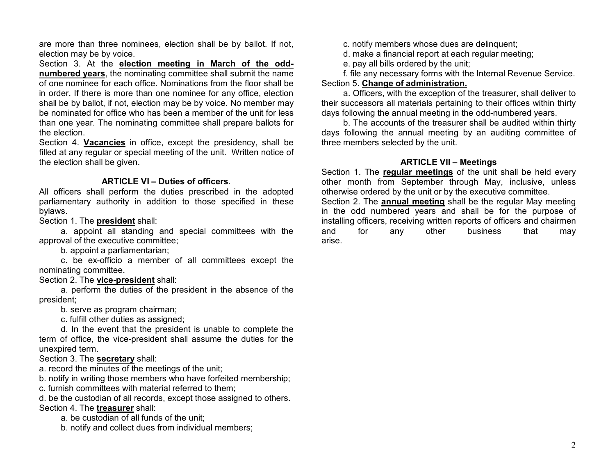are more than three nominees, election shall be by ballot. If not, election may be by voice.

Section 3. At the **election meeting in March of the oddnumbered years**, the nominating committee shall submit the name of one nominee for each office. Nominations from the floor shall be in order. If there is more than one nominee for any office, election shall be by ballot, if not, election may be by voice. No member may be nominated for office who has been a member of the unit for less than one year. The nominating committee shall prepare ballots for the election.

Section 4. **Vacancies** in office, except the presidency, shall be filled at any regular or special meeting of the unit. Written notice of the election shall be given.

# **ARTICLE VI – Duties of officers**.

All officers shall perform the duties prescribed in the adopted parliamentary authority in addition to those specified in these bylaws.

Section 1. The **president** shall:

a. appoint all standing and special committees with the approval of the executive committee;

b. appoint a parliamentarian;

c. be ex-officio a member of all committees except the nominating committee.

## Section 2. The **vice-president** shall:

a. perform the duties of the president in the absence of the president;

b. serve as program chairman;

c. fulfill other duties as assigned;

d. In the event that the president is unable to complete the term of office, the vice-president shall assume the duties for the unexpired term.

Section 3. The **secretary** shall:

a. record the minutes of the meetings of the unit;

b. notify in writing those members who have forfeited membership;

c. furnish committees with material referred to them;

d. be the custodian of all records, except those assigned to others. Section 4. The **treasurer** shall:

a. be custodian of all funds of the unit;

b. notify and collect dues from individual members;

c. notify members whose dues are delinquent;

d. make a financial report at each regular meeting;

e. pay all bills ordered by the unit;

f. file any necessary forms with the Internal Revenue Service. Section 5. **Change of administration.**

a. Officers, with the exception of the treasurer, shall deliver to their successors all materials pertaining to their offices within thirty days following the annual meeting in the odd-numbered years.

b. The accounts of the treasurer shall be audited within thirty days following the annual meeting by an auditing committee of three members selected by the unit.

# **ARTICLE VII – Meetings**

Section 1. The **regular meetings** of the unit shall be held every other month from September through May, inclusive, unless otherwise ordered by the unit or by the executive committee.

Section 2. The **annual meeting** shall be the regular May meeting in the odd numbered years and shall be for the purpose of installing officers, receiving written reports of officers and chairmen and for any other business that may arise.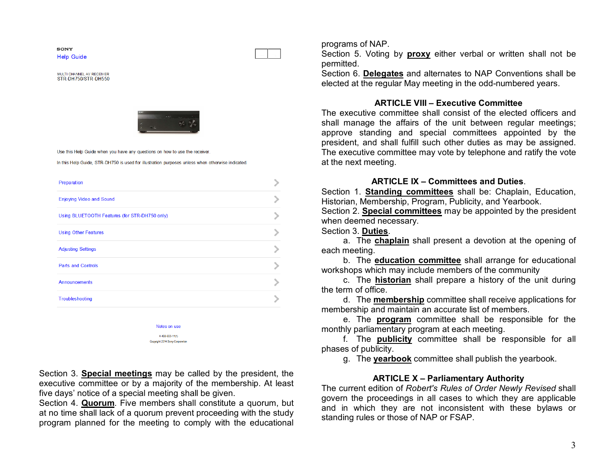**SONY Help Guide** 

MULTI CHANNEL AV RECEIVER STR-DH750/STR-DH550



Use this Help Guide when you have any questions on how to use the receiver

In this Help Guide, STR-DH750 is used for illustration purposes unless when otherwise indicated.

| Preparation                                   |  |
|-----------------------------------------------|--|
| <b>Enjoying Video and Sound</b>               |  |
| Using BLUETOOTH Features (for STR-DH750 only) |  |
| <b>Using Other Features</b>                   |  |
| <b>Adjusting Settings</b>                     |  |
| <b>Parts and Controls</b>                     |  |
| <b>Announcements</b>                          |  |
| Troubleshooting                               |  |
|                                               |  |

Notes on use 4-488-933-11(1) Copyright 2014 Sony Corporation

Section 3. **Special meetings** may be called by the president, the executive committee or by a majority of the membership. At least five days' notice of a special meeting shall be given.

Section 4. **Quorum**. Five members shall constitute a quorum, but at no time shall lack of a quorum prevent proceeding with the study program planned for the meeting to comply with the educational

programs of NAP.

Section 5. Voting by **proxy** either verbal or written shall not be permitted.

Section 6. **Delegates** and alternates to NAP Conventions shall be elected at the regular May meeting in the odd-numbered years.

### **ARTICLE VIII – Executive Committee**

The executive committee shall consist of the elected officers and shall manage the affairs of the unit between regular meetings; approve standing and special committees appointed by the president, and shall fulfill such other duties as may be assigned. The executive committee may vote by telephone and ratify the vote at the next meeting.

#### **ARTICLE IX – Committees and Duties**.

Section 1. **Standing committees** shall be: Chaplain, Education, Historian, Membership, Program, Publicity, and Yearbook.

Section 2. **Special committees** may be appointed by the president when deemed necessary.

Section 3. **Duties**.

a. The **chaplain** shall present a devotion at the opening of each meeting.

b. The **education committee** shall arrange for educational workshops which may include members of the community

c. The **historian** shall prepare a history of the unit during the term of office.

d. The **membership** committee shall receive applications for membership and maintain an accurate list of members.

e. The **program** committee shall be responsible for the monthly parliamentary program at each meeting.

f. The **publicity** committee shall be responsible for all phases of publicity.

g. The **yearbook** committee shall publish the yearbook.

### **ARTICLE X – Parliamentary Authority**

The current edition of *Robert's Rules of Order Newly Revised* shall govern the proceedings in all cases to which they are applicable and in which they are not inconsistent with these bylaws or standing rules or those of NAP or FSAP.